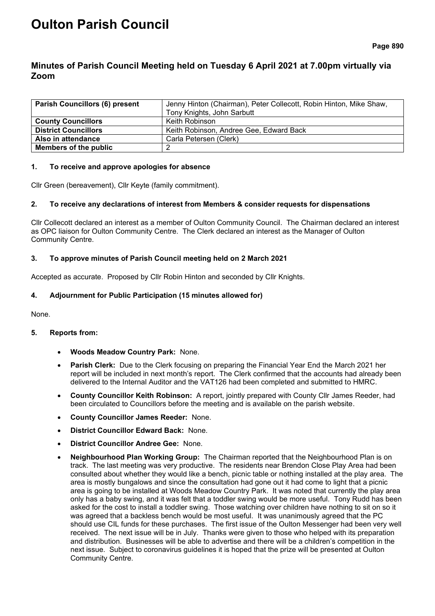# **Oulton Parish Council**

# **Minutes of Parish Council Meeting held on Tuesday 6 April 2021 at 7.00pm virtually via Zoom**

| <b>Parish Councillors (6) present</b> | Jenny Hinton (Chairman), Peter Collecott, Robin Hinton, Mike Shaw,<br>Tony Knights, John Sarbutt |  |
|---------------------------------------|--------------------------------------------------------------------------------------------------|--|
| <b>County Councillors</b>             | Keith Robinson                                                                                   |  |
| <b>District Councillors</b>           | Keith Robinson, Andree Gee, Edward Back                                                          |  |
| Also in attendance                    | Carla Petersen (Clerk)                                                                           |  |
| <b>Members of the public</b>          |                                                                                                  |  |

### **1. To receive and approve apologies for absence**

Cllr Green (bereavement), Cllr Keyte (family commitment).

### **2. To receive any declarations of interest from Members & consider requests for dispensations**

Cllr Collecott declared an interest as a member of Oulton Community Council. The Chairman declared an interest as OPC liaison for Oulton Community Centre. The Clerk declared an interest as the Manager of Oulton Community Centre.

### **3. To approve minutes of Parish Council meeting held on 2 March 2021**

Accepted as accurate. Proposed by Cllr Robin Hinton and seconded by Cllr Knights.

### **4. Adjournment for Public Participation (15 minutes allowed for)**

None.

#### **5. Reports from:**

- **Woods Meadow Country Park:** None.
- **Parish Clerk:** Due to the Clerk focusing on preparing the Financial Year End the March 2021 her report will be included in next month's report. The Clerk confirmed that the accounts had already been delivered to the Internal Auditor and the VAT126 had been completed and submitted to HMRC.
- **County Councillor Keith Robinson:** A report, jointly prepared with County Cllr James Reeder, had been circulated to Councillors before the meeting and is available on the parish website.
- **County Councillor James Reeder:** None.
- **District Councillor Edward Back:** None.
- **District Councillor Andree Gee:** None.
- **Neighbourhood Plan Working Group:** The Chairman reported that the Neighbourhood Plan is on track. The last meeting was very productive. The residents near Brendon Close Play Area had been consulted about whether they would like a bench, picnic table or nothing installed at the play area. The area is mostly bungalows and since the consultation had gone out it had come to light that a picnic area is going to be installed at Woods Meadow Country Park. It was noted that currently the play area only has a baby swing, and it was felt that a toddler swing would be more useful. Tony Rudd has been asked for the cost to install a toddler swing. Those watching over children have nothing to sit on so it was agreed that a backless bench would be most useful. It was unanimously agreed that the PC should use CIL funds for these purchases. The first issue of the Oulton Messenger had been very well received. The next issue will be in July. Thanks were given to those who helped with its preparation and distribution. Businesses will be able to advertise and there will be a children's competition in the next issue. Subject to coronavirus guidelines it is hoped that the prize will be presented at Oulton Community Centre.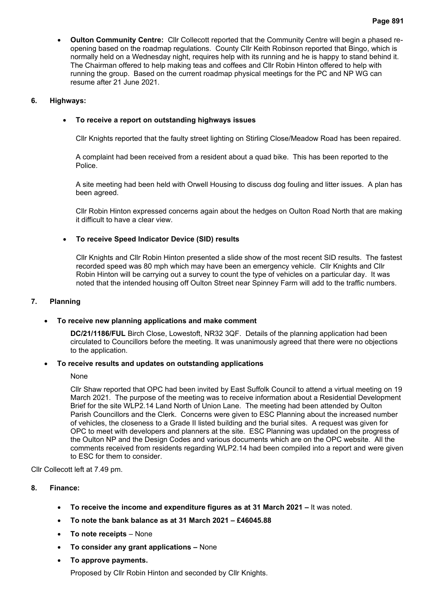# **6. Highways:**

# • **To receive a report on outstanding highways issues**

Cllr Knights reported that the faulty street lighting on Stirling Close/Meadow Road has been repaired.

A complaint had been received from a resident about a quad bike. This has been reported to the Police.

A site meeting had been held with Orwell Housing to discuss dog fouling and litter issues. A plan has been agreed.

Cllr Robin Hinton expressed concerns again about the hedges on Oulton Road North that are making it difficult to have a clear view.

# • **To receive Speed Indicator Device (SID) results**

Cllr Knights and Cllr Robin Hinton presented a slide show of the most recent SID results. The fastest recorded speed was 80 mph which may have been an emergency vehicle. Cllr Knights and Cllr Robin Hinton will be carrying out a survey to count the type of vehicles on a particular day. It was noted that the intended housing off Oulton Street near Spinney Farm will add to the traffic numbers.

# **7. Planning**

# • **To receive new planning applications and make comment**

**DC/21/1186/FUL** Birch Close, Lowestoft, NR32 3QF. Details of the planning application had been circulated to Councillors before the meeting. It was unanimously agreed that there were no objections to the application.

# • **To receive results and updates on outstanding applications**

# None

Cllr Shaw reported that OPC had been invited by East Suffolk Council to attend a virtual meeting on 19 March 2021. The purpose of the meeting was to receive information about a Residential Development Brief for the site WLP2.14 Land North of Union Lane. The meeting had been attended by Oulton Parish Councillors and the Clerk. Concerns were given to ESC Planning about the increased number of vehicles, the closeness to a Grade II listed building and the burial sites. A request was given for OPC to meet with developers and planners at the site. ESC Planning was updated on the progress of the Oulton NP and the Design Codes and various documents which are on the OPC website. All the comments received from residents regarding WLP2.14 had been compiled into a report and were given to ESC for them to consider.

Cllr Collecott left at 7.49 pm.

# **8. Finance:**

- **To receive the income and expenditure figures as at 31 March 2021 –** It was noted.
- **To note the bank balance as at 31 March 2021 – £46045.88**
- **To note receipts** None
- **To consider any grant applications –** None
- **To approve payments.**

Proposed by Cllr Robin Hinton and seconded by Cllr Knights.